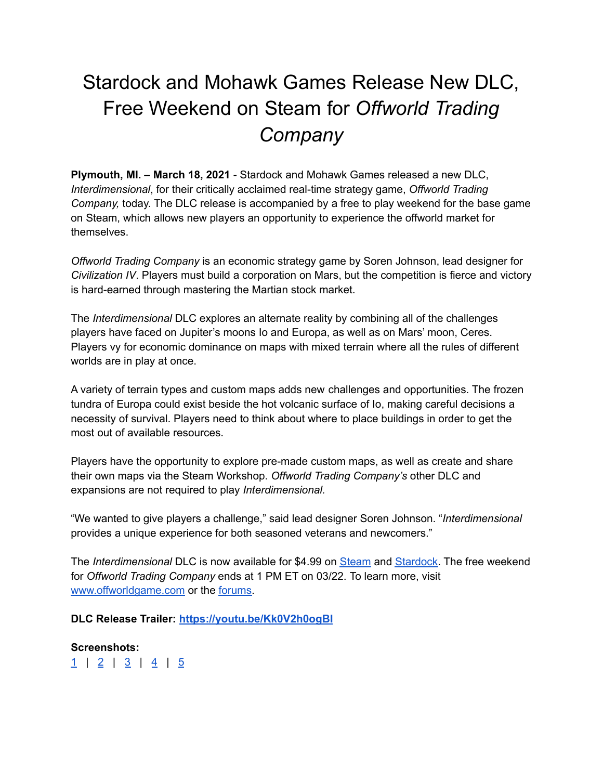## Stardock and Mohawk Games Release New DLC, Free Weekend on Steam for *Offworld Trading Company*

**Plymouth, MI. – March 18, 2021** - Stardock and Mohawk Games released a new DLC, *Interdimensional*, for their critically acclaimed real-time strategy game, *Offworld Trading Company,* today. The DLC release is accompanied by a free to play weekend for the base game on Steam, which allows new players an opportunity to experience the offworld market for themselves.

*Offworld Trading Company* is an economic strategy game by Soren Johnson, lead designer for *Civilization IV*. Players must build a corporation on Mars, but the competition is fierce and victory is hard-earned through mastering the Martian stock market.

The *Interdimensional* DLC explores an alternate reality by combining all of the challenges players have faced on Jupiter's moons Io and Europa, as well as on Mars' moon, Ceres. Players vy for economic dominance on maps with mixed terrain where all the rules of different worlds are in play at once.

A variety of terrain types and custom maps adds new challenges and opportunities. The frozen tundra of Europa could exist beside the hot volcanic surface of Io, making careful decisions a necessity of survival. Players need to think about where to place buildings in order to get the most out of available resources.

Players have the opportunity to explore pre-made custom maps, as well as create and share their own maps via the Steam Workshop. *Offworld Trading Company's* other DLC and expansions are not required to play *Interdimensional.*

"We wanted to give players a challenge," said lead designer Soren Johnson. "*Interdimensional* provides a unique experience for both seasoned veterans and newcomers."

The *Interdimensional* DLC is now available for \$4.99 on [Steam](https://store.steampowered.com/app/1469670) and [Stardock.](http://www.offworldgame.com/store#dlc) The free weekend for *Offworld Trading Company* ends at 1 PM ET on 03/22. To learn more, visit [www.offworldgame.com](http://www.offworldgame.com) or the [forums.](https://www.offworldgame.com/article/504008)

**DLC Release Trailer: <https://youtu.be/Kk0V2h0ogBI>**

**Screenshots:**  $1 \mid 2 \mid 3 \mid 4 \mid 5$  $1 \mid 2 \mid 3 \mid 4 \mid 5$  $1 \mid 2 \mid 3 \mid 4 \mid 5$  $1 \mid 2 \mid 3 \mid 4 \mid 5$  $1 \mid 2 \mid 3 \mid 4 \mid 5$  $1 \mid 2 \mid 3 \mid 4 \mid 5$  $1 \mid 2 \mid 3 \mid 4 \mid 5$  $1 \mid 2 \mid 3 \mid 4 \mid 5$  $1 \mid 2 \mid 3 \mid 4 \mid 5$